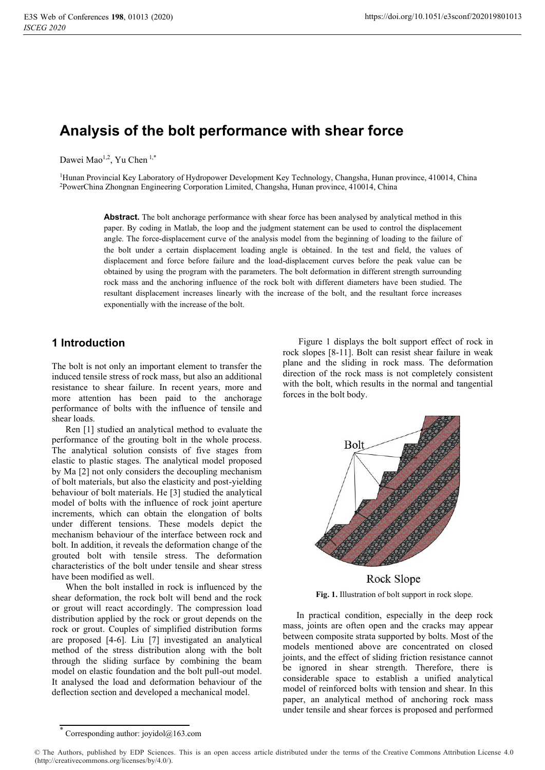# **Analysis of the bolt performance with shear force**

Dawei Mao<sup>1,2</sup>, Yu Chen<sup>1,\*</sup>

<sup>1</sup>Hunan Provincial Key Laboratory of Hydropower Development Key Technology, Changsha, Hunan province, 410014, China <sup>2</sup>PowerChina Zhongnan Engineering Corporation Limited, Changsha, Hunan province, 410014, China

Abstract. The bolt anchorage performance with shear force has been analysed by analytical method in this paper. By coding in Matlab, the loop and the judgment statement can be used to control the displacement angle. The force-displacement curve of the analysis model from the beginning of loading to the failure of the bolt under a certain displacement loading angle is obtained. In the test and field, the values of displacement and force before failure and the load-displacement curves before the peak value can be obtained by using the program with the parameters. The bolt deformation in different strength surrounding rock mass and the anchoring influence of the rock bolt with different diameters have been studied. The resultant displacement increases linearly with the increase of the bolt, and the resultant force increases exponentially with the increase of the bolt.

## **1 Introduction**

The bolt is not only an important element to transfer the induced tensile stress of rock mass, but also an additional resistance to shear failure. In recent years, more and more attention has been paid to the anchorage performance of bolts with the influence of tensile and shear loads.

Ren [1] studied an analytical method to evaluate the performance of the grouting bolt in the whole process. The analytical solution consists of five stages from elastic to plastic stages. The analytical model proposed by Ma [2] not only considers the decoupling mechanism of bolt materials, but also the elasticity and post-yielding behaviour of bolt materials. He [3] studied the analytical model of bolts with the influence of rock joint aperture increments, which can obtain the elongation of bolts under different tensions. These models depict the mechanism behaviour of the interface between rock and bolt. In addition, it reveals the deformation change of the grouted bolt with tensile stress. The deformation characteristics of the bolt under tensile and shear stress have been modified as well.

When the bolt installed in rock is influenced by the shear deformation, the rock bolt will bend and the rock or grout will react accordingly. The compression load distribution applied by the rock or grout depends on the rock or grout. Couples of simplified distribution forms are proposed [4-6]. Liu [7] investigated an analytical method of the stress distribution along with the bolt through the sliding surface by combining the beam model on elastic foundation and the bolt pull-out model. It analysed the load and deformation behaviour of the deflection section and developed a mechanical model.

 Figure 1 displays the bolt support effect of rock in rock slopes [8-11]. Bolt can resist shear failure in weak plane and the sliding in rock mass. The deformation direction of the rock mass is not completely consistent with the bolt, which results in the normal and tangential forces in the bolt body.



Rock Slope

**Fig. 1.** Illustration of bolt support in rock slope.

In practical condition, especially in the deep rock mass, joints are often open and the cracks may appear between composite strata supported by bolts. Most of the models mentioned above are concentrated on closed joints, and the effect of sliding friction resistance cannot be ignored in shear strength. Therefore, there is considerable space to establish a unified analytical model of reinforced bolts with tension and shear. In this paper, an analytical method of anchoring rock mass under tensile and shear forces is proposed and performed

<sup>\*</sup> Corresponding author: joyidol@163.com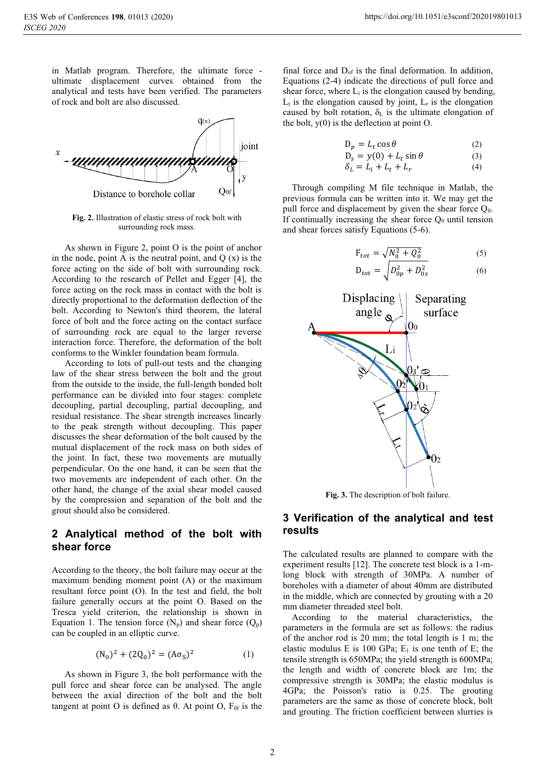in Matlab program. Therefore, the ultimate force ultimate displacement curves obtained from the analytical and tests have been verified. The parameters of rock and bolt are also discussed.



**Fig. 2.** Illustration of elastic stress of rock bolt with surrounding rock mass.

As shown in Figure 2, point O is the point of anchor in the node, point A is the neutral point, and  $Q(x)$  is the force acting on the side of bolt with surrounding rock. According to the research of Pellet and Egger [4], the force acting on the rock mass in contact with the bolt is directly proportional to the deformation deflection of the bolt. According to Newton's third theorem, the lateral force of bolt and the force acting on the contact surface of surrounding rock are equal to the larger reverse interaction force. Therefore, the deformation of the bolt conforms to the Winkler foundation beam formula.

According to lots of pull-out tests and the changing law of the shear stress between the bolt and the grout from the outside to the inside, the full-length bonded bolt performance can be divided into four stages: complete decoupling, partial decoupling, partial decoupling, and residual resistance. The shear strength increases linearly to the peak strength without decoupling. This paper discusses the shear deformation of the bolt caused by the mutual displacement of the rock mass on both sides of the joint. In fact, these two movements are mutually perpendicular. On the one hand, it can be seen that the two movements are independent of each other. On the other hand, the change of the axial shear model caused by the compression and separation of the bolt and the grout should also be considered.

## **2 Analytical method of the bolt with shear force**

According to the theory, the bolt failure may occur at the maximum bending moment point (A) or the maximum resultant force point (O). In the test and field, the bolt failure generally occurs at the point O. Based on the Tresca yield criterion, the relationship is shown in Equation 1. The tension force  $(N_p)$  and shear force  $(Q_p)$ can be coupled in an elliptic curve.

$$
(N_0)^2 + (2Q_0)^2 = (A\sigma_S)^2 \tag{1}
$$

As shown in Figure 3, the bolt performance with the pull force and shear force can be analysed. The angle between the axial direction of the bolt and the bolt tangent at point O is defined as  $θ$ . At point O, F<sub>0f</sub> is the

final force and  $D_{of}$  is the final deformation. In addition, Equations (2-4) indicate the directions of pull force and shear force, where  $L_i$  is the elongation caused by bending,  $L_t$  is the elongation caused by joint,  $L_t$  is the elongation caused by bolt rotation,  $\delta_{\rm L}$  is the ultimate elongation of the bolt, y(0) is the deflection at point O.

$$
D_p = L_t \cos \theta \tag{2}
$$

$$
D_s = y(0) + L_t \sin \theta \tag{3}
$$

$$
\delta_L = L_i + L_t + L_r \tag{4}
$$

Through compiling M file technique in Matlab, the previous formula can be written into it. We may get the pull force and displacement by given the shear force  $Q_0$ . If continually increasing the shear force  $Q_0$  until tension and shear forces satisfy Equations (5-6).

$$
F_{tot} = \sqrt{N_0^2 + Q_0^2}
$$
 (5)

$$
D_{tot} = \sqrt{D_{0p}^2 + D_{0s}^2}
$$
 (6)



**Fig. 3.** The description of bolt failure.

### **3 Verification of the analytical and test results**

The calculated results are planned to compare with the experiment results [12]. The concrete test block is a 1-mlong block with strength of 30MPa. A number of boreholes with a diameter of about 40mm are distributed in the middle, which are connected by grouting with a 20 mm diameter threaded steel bolt.

According to the material characteristics, the parameters in the formula are set as follows: the radius of the anchor rod is 20 mm; the total length is 1 m; the elastic modulus E is 100 GPa;  $E_1$  is one tenth of E; the tensile strength is 650MPa; the yield strength is 600MPa; the length and width of concrete block are 1m; the compressive strength is 30MPa; the elastic modulus is 4GPa; the Poisson's ratio is 0.25. The grouting parameters are the same as those of concrete block, bolt and grouting. The friction coefficient between slurries is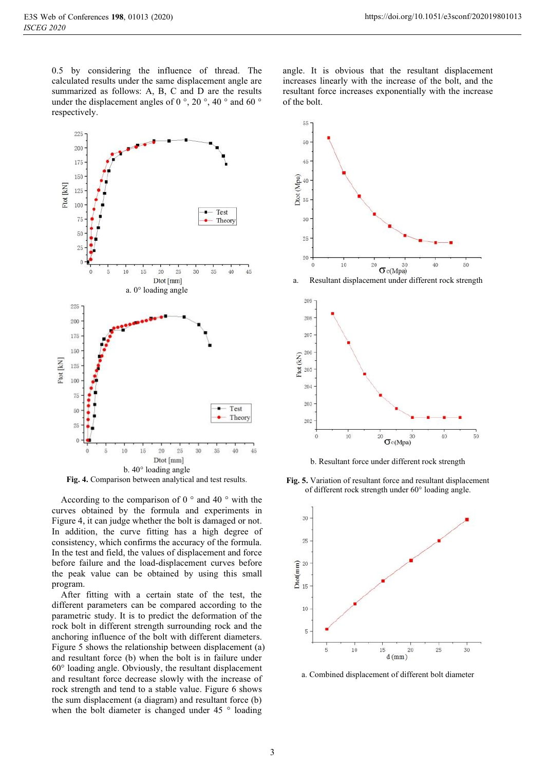0.5 by considering the influence of thread. The calculated results under the same displacement angle are summarized as follows: A, B, C and D are the results under the displacement angles of 0 °, 20 °, 40 ° and 60 ° respectively.



**Fig. 4.** Comparison between analytical and test results.

According to the comparison of  $0^{\circ}$  and  $40^{\circ}$  with the curves obtained by the formula and experiments in Figure 4, it can judge whether the bolt is damaged or not. In addition, the curve fitting has a high degree of consistency, which confirms the accuracy of the formula. In the test and field, the values of displacement and force before failure and the load-displacement curves before the peak value can be obtained by using this small program.

After fitting with a certain state of the test, the different parameters can be compared according to the parametric study. It is to predict the deformation of the rock bolt in different strength surrounding rock and the anchoring influence of the bolt with different diameters. Figure 5 shows the relationship between displacement (a) and resultant force (b) when the bolt is in failure under 60° loading angle. Obviously, the resultant displacement and resultant force decrease slowly with the increase of rock strength and tend to a stable value. Figure 6 shows the sum displacement (a diagram) and resultant force (b) when the bolt diameter is changed under 45 ° loading



angle. It is obvious that the resultant displacement increases linearly with the increase of the bolt, and the resultant force increases exponentially with the increase

of the bolt.

a. Resultant displacement under different rock strength



b. Resultant force under different rock strength

**Fig. 5.** Variation of resultant force and resultant displacement of different rock strength under 60° loading angle.



a. Combined displacement of different bolt diameter